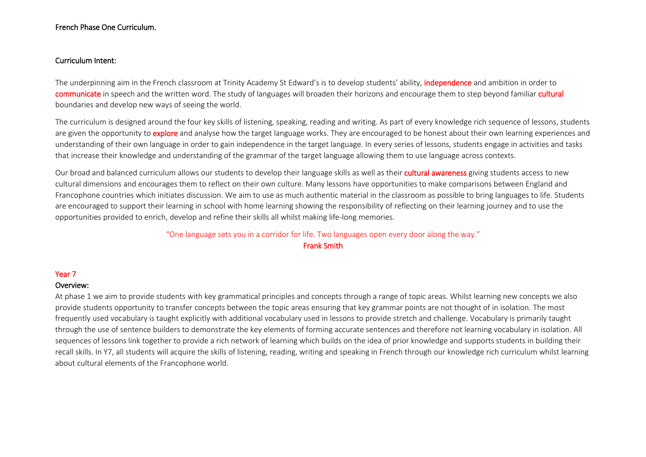## French Phase One Curriculum.

### Curriculum Intent:

The underpinning aim in the French classroom at Trinity Academy St Edward's is to develop students' ability, *independence* and ambition in order to communicate in speech and the written word. The study of languages will broaden their horizons and encourage them to step beyond familiar cultural boundaries and develop new ways of seeing the world.

The curriculum is designed around the four key skills of listening, speaking, reading and writing. As part of every knowledge rich sequence of lessons, students are given the opportunity to explore and analyse how the target language works. They are encouraged to be honest about their own learning experiences and understanding of their own language in order to gain independence in the target language. In every series of lessons, students engage in activities and tasks that increase their knowledge and understanding of the grammar of the target language allowing them to use language across contexts.

Our broad and balanced curriculum allows our students to develop their language skills as well as their cultural awareness giving students access to new cultural dimensions and encourages them to reflect on their own culture. Many lessons have opportunities to make comparisons between England and Francophone countries which initiates discussion. We aim to use as much authentic material in the classroom as possible to bring languages to life. Students are encouraged to support their learning in school with home learning showing the responsibility of reflecting on their learning journey and to use the opportunities provided to enrich, develop and refine their skills all whilst making life-long memories.

# "One language sets you in a corridor for life. Two languages open every door along the way."

### Frank Smith

### Year 7

### Overview:

At phase 1 we aim to provide students with key grammatical principles and concepts through a range of topic areas. Whilst learning new concepts we also provide students opportunity to transfer concepts between the topic areas ensuring that key grammar points are not thought of in isolation. The most frequently used vocabulary is taught explicitly with additional vocabulary used in lessons to provide stretch and challenge. Vocabulary is primarily taught through the use of sentence builders to demonstrate the key elements of forming accurate sentences and therefore not learning vocabulary in isolation. All sequences of lessons link together to provide a rich network of learning which builds on the idea of prior knowledge and supports students in building their recall skills. In Y7, all students will acquire the skills of listening, reading, writing and speaking in French through our knowledge rich curriculum whilst learning about cultural elements of the Francophone world.